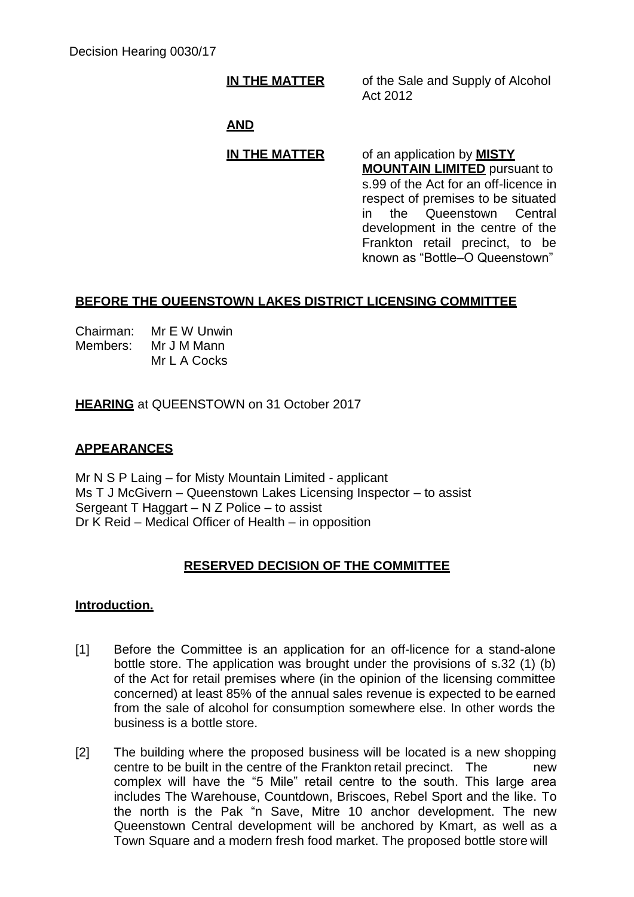**IN THE MATTER** of the Sale and Supply of Alcohol Act 2012

# **AND**

# **IN THE MATTER** of an application by **MISTY**

**MOUNTAIN LIMITED** pursuant to s.99 of the Act for an off-licence in respect of premises to be situated in the Queenstown Central development in the centre of the Frankton retail precinct, to be known as "Bottle–O Queenstown"

# **BEFORE THE QUEENSTOWN LAKES DISTRICT LICENSING COMMITTEE**

Chairman: Mr E W Unwin Members: Mr J M Mann Mr L A Cocks

**HEARING** at QUEENSTOWN on 31 October 2017

# **APPEARANCES**

Mr N S P Laing – for Misty Mountain Limited - applicant Ms T J McGivern – Queenstown Lakes Licensing Inspector – to assist Sergeant T Haggart – N Z Police – to assist Dr K Reid – Medical Officer of Health – in opposition

## **RESERVED DECISION OF THE COMMITTEE**

## **Introduction.**

- [1] Before the Committee is an application for an off-licence for a stand-alone bottle store. The application was brought under the provisions of s.32 (1) (b) of the Act for retail premises where (in the opinion of the licensing committee concerned) at least 85% of the annual sales revenue is expected to be earned from the sale of alcohol for consumption somewhere else. In other words the business is a bottle store.
- [2] The building where the proposed business will be located is a new shopping centre to be built in the centre of the Frankton retail precinct. The new complex will have the "5 Mile" retail centre to the south. This large area includes The Warehouse, Countdown, Briscoes, Rebel Sport and the like. To the north is the Pak "n Save, Mitre 10 anchor development. The new Queenstown Central development will be anchored by Kmart, as well as a Town Square and a modern fresh food market. The proposed bottle store will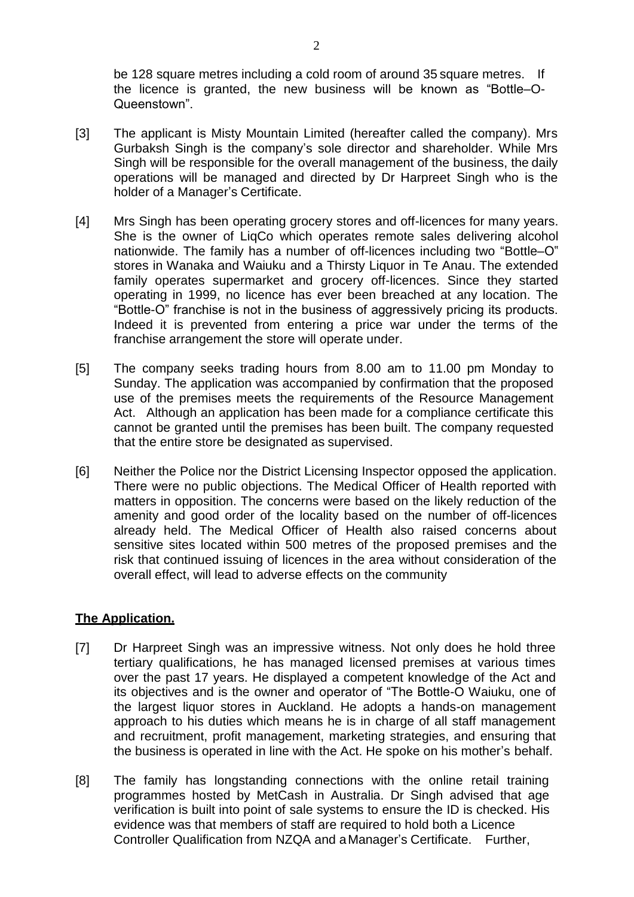be 128 square metres including a cold room of around 35 square metres. If the licence is granted, the new business will be known as "Bottle–O-Queenstown".

- [3] The applicant is Misty Mountain Limited (hereafter called the company). Mrs Gurbaksh Singh is the company's sole director and shareholder. While Mrs Singh will be responsible for the overall management of the business, the daily operations will be managed and directed by Dr Harpreet Singh who is the holder of a Manager's Certificate.
- [4] Mrs Singh has been operating grocery stores and off-licences for many years. She is the owner of LiqCo which operates remote sales delivering alcohol nationwide. The family has a number of off-licences including two "Bottle–O" stores in Wanaka and Waiuku and a Thirsty Liquor in Te Anau. The extended family operates supermarket and grocery off-licences. Since they started operating in 1999, no licence has ever been breached at any location. The "Bottle-O" franchise is not in the business of aggressively pricing its products. Indeed it is prevented from entering a price war under the terms of the franchise arrangement the store will operate under.
- [5] The company seeks trading hours from 8.00 am to 11.00 pm Monday to Sunday. The application was accompanied by confirmation that the proposed use of the premises meets the requirements of the Resource Management Act. Although an application has been made for a compliance certificate this cannot be granted until the premises has been built. The company requested that the entire store be designated as supervised.
- [6] Neither the Police nor the District Licensing Inspector opposed the application. There were no public objections. The Medical Officer of Health reported with matters in opposition. The concerns were based on the likely reduction of the amenity and good order of the locality based on the number of off-licences already held. The Medical Officer of Health also raised concerns about sensitive sites located within 500 metres of the proposed premises and the risk that continued issuing of licences in the area without consideration of the overall effect, will lead to adverse effects on the community

## **The Application.**

- [7] Dr Harpreet Singh was an impressive witness. Not only does he hold three tertiary qualifications, he has managed licensed premises at various times over the past 17 years. He displayed a competent knowledge of the Act and its objectives and is the owner and operator of "The Bottle-O Waiuku, one of the largest liquor stores in Auckland. He adopts a hands-on management approach to his duties which means he is in charge of all staff management and recruitment, profit management, marketing strategies, and ensuring that the business is operated in line with the Act. He spoke on his mother's behalf.
- [8] The family has longstanding connections with the online retail training programmes hosted by MetCash in Australia. Dr Singh advised that age verification is built into point of sale systems to ensure the ID is checked. His evidence was that members of staff are required to hold both a Licence Controller Qualification from NZQA and aManager's Certificate. Further,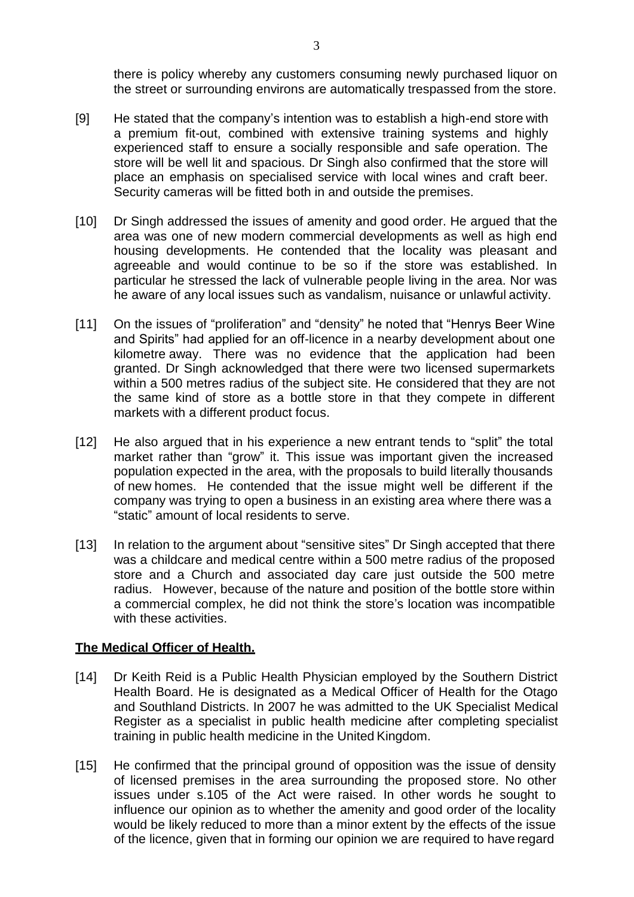there is policy whereby any customers consuming newly purchased liquor on the street or surrounding environs are automatically trespassed from the store.

- [9] He stated that the company's intention was to establish a high-end store with a premium fit-out, combined with extensive training systems and highly experienced staff to ensure a socially responsible and safe operation. The store will be well lit and spacious. Dr Singh also confirmed that the store will place an emphasis on specialised service with local wines and craft beer. Security cameras will be fitted both in and outside the premises.
- [10] Dr Singh addressed the issues of amenity and good order. He argued that the area was one of new modern commercial developments as well as high end housing developments. He contended that the locality was pleasant and agreeable and would continue to be so if the store was established. In particular he stressed the lack of vulnerable people living in the area. Nor was he aware of any local issues such as vandalism, nuisance or unlawful activity.
- [11] On the issues of "proliferation" and "density" he noted that "Henrys Beer Wine and Spirits" had applied for an off-licence in a nearby development about one kilometre away. There was no evidence that the application had been granted. Dr Singh acknowledged that there were two licensed supermarkets within a 500 metres radius of the subject site. He considered that they are not the same kind of store as a bottle store in that they compete in different markets with a different product focus.
- [12] He also argued that in his experience a new entrant tends to "split" the total market rather than "grow" it. This issue was important given the increased population expected in the area, with the proposals to build literally thousands of new homes. He contended that the issue might well be different if the company was trying to open a business in an existing area where there was a "static" amount of local residents to serve.
- [13] In relation to the argument about "sensitive sites" Dr Singh accepted that there was a childcare and medical centre within a 500 metre radius of the proposed store and a Church and associated day care just outside the 500 metre radius. However, because of the nature and position of the bottle store within a commercial complex, he did not think the store's location was incompatible with these activities.

#### **The Medical Officer of Health.**

- [14] Dr Keith Reid is a Public Health Physician employed by the Southern District Health Board. He is designated as a Medical Officer of Health for the Otago and Southland Districts. In 2007 he was admitted to the UK Specialist Medical Register as a specialist in public health medicine after completing specialist training in public health medicine in the United Kingdom.
- [15] He confirmed that the principal ground of opposition was the issue of density of licensed premises in the area surrounding the proposed store. No other issues under s.105 of the Act were raised. In other words he sought to influence our opinion as to whether the amenity and good order of the locality would be likely reduced to more than a minor extent by the effects of the issue of the licence, given that in forming our opinion we are required to have regard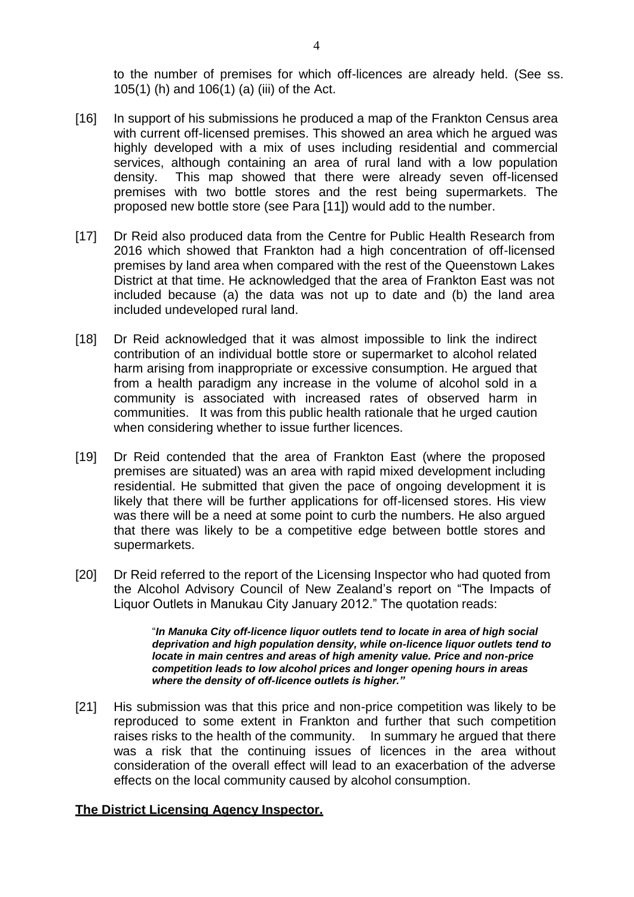to the number of premises for which off-licences are already held. (See ss. 105(1) (h) and 106(1) (a) (iii) of the Act.

- [16] In support of his submissions he produced a map of the Frankton Census area with current off-licensed premises. This showed an area which he argued was highly developed with a mix of uses including residential and commercial services, although containing an area of rural land with a low population density. This map showed that there were already seven off-licensed premises with two bottle stores and the rest being supermarkets. The proposed new bottle store (see Para [11]) would add to the number.
- [17] Dr Reid also produced data from the Centre for Public Health Research from 2016 which showed that Frankton had a high concentration of off-licensed premises by land area when compared with the rest of the Queenstown Lakes District at that time. He acknowledged that the area of Frankton East was not included because (a) the data was not up to date and (b) the land area included undeveloped rural land.
- [18] Dr Reid acknowledged that it was almost impossible to link the indirect contribution of an individual bottle store or supermarket to alcohol related harm arising from inappropriate or excessive consumption. He argued that from a health paradigm any increase in the volume of alcohol sold in a community is associated with increased rates of observed harm in communities. It was from this public health rationale that he urged caution when considering whether to issue further licences.
- [19] Dr Reid contended that the area of Frankton East (where the proposed premises are situated) was an area with rapid mixed development including residential. He submitted that given the pace of ongoing development it is likely that there will be further applications for off-licensed stores. His view was there will be a need at some point to curb the numbers. He also argued that there was likely to be a competitive edge between bottle stores and supermarkets.
- [20] Dr Reid referred to the report of the Licensing Inspector who had quoted from the Alcohol Advisory Council of New Zealand's report on "The Impacts of Liquor Outlets in Manukau City January 2012." The quotation reads:

"*In Manuka City off-licence liquor outlets tend to locate in area of high social deprivation and high population density, while on-licence liquor outlets tend to locate in main centres and areas of high amenity value. Price and non-price competition leads to low alcohol prices and longer opening hours in areas where the density of off-licence outlets is higher."*

[21] His submission was that this price and non-price competition was likely to be reproduced to some extent in Frankton and further that such competition raises risks to the health of the community. In summary he argued that there was a risk that the continuing issues of licences in the area without consideration of the overall effect will lead to an exacerbation of the adverse effects on the local community caused by alcohol consumption.

#### **The District Licensing Agency Inspector.**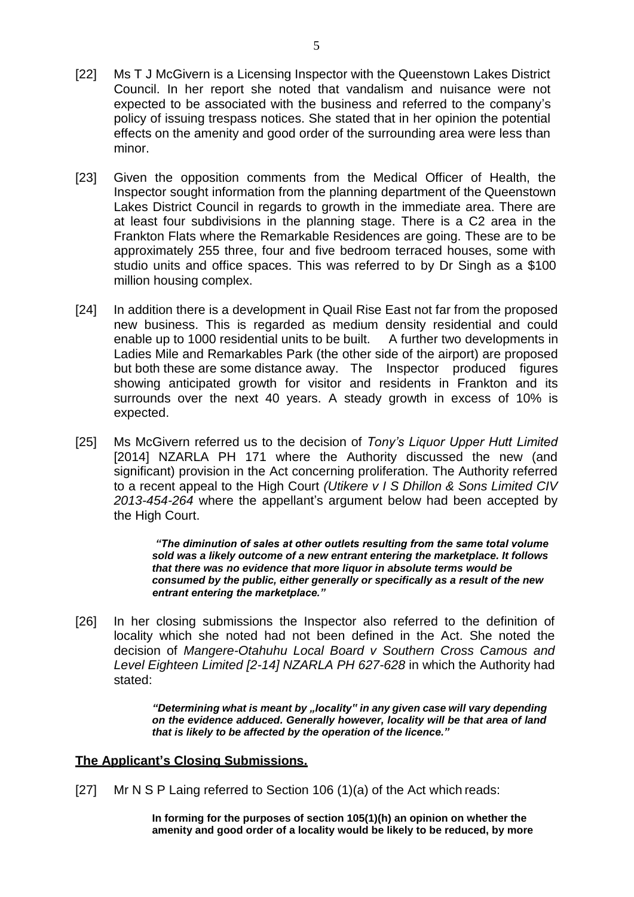- [22] Ms T J McGivern is a Licensing Inspector with the Queenstown Lakes District Council. In her report she noted that vandalism and nuisance were not expected to be associated with the business and referred to the company's policy of issuing trespass notices. She stated that in her opinion the potential effects on the amenity and good order of the surrounding area were less than minor.
- [23] Given the opposition comments from the Medical Officer of Health, the Inspector sought information from the planning department of the Queenstown Lakes District Council in regards to growth in the immediate area. There are at least four subdivisions in the planning stage. There is a C2 area in the Frankton Flats where the Remarkable Residences are going. These are to be approximately 255 three, four and five bedroom terraced houses, some with studio units and office spaces. This was referred to by Dr Singh as a \$100 million housing complex.
- [24] In addition there is a development in Quail Rise East not far from the proposed new business. This is regarded as medium density residential and could enable up to 1000 residential units to be built. A further two developments in Ladies Mile and Remarkables Park (the other side of the airport) are proposed but both these are some distance away. The Inspector produced figures showing anticipated growth for visitor and residents in Frankton and its surrounds over the next 40 years. A steady growth in excess of 10% is expected.
- [25] Ms McGivern referred us to the decision of *Tony's Liquor Upper Hutt Limited*  [2014] NZARLA PH 171 where the Authority discussed the new (and significant) provision in the Act concerning proliferation. The Authority referred to a recent appeal to the High Court *(Utikere v I S Dhillon & Sons Limited CIV 2013-454-264* where the appellant's argument below had been accepted by the High Court.

*"The diminution of sales at other outlets resulting from the same total volume sold was a likely outcome of a new entrant entering the marketplace. It follows that there was no evidence that more liquor in absolute terms would be consumed by the public, either generally or specifically as a result of the new entrant entering the marketplace."*

[26] In her closing submissions the Inspector also referred to the definition of locality which she noted had not been defined in the Act. She noted the decision of *Mangere-Otahuhu Local Board v Southern Cross Camous and*  Level Eighteen Limited [2-14] NZARLA PH 627-628 in which the Authority had stated:

> *"Determining what is meant by "locality" in any given case will vary depending on the evidence adduced. Generally however, locality will be that area of land that is likely to be affected by the operation of the licence."*

#### **The Applicant's Closing Submissions.**

[27] Mr N S P Laing referred to Section 106 (1)(a) of the Act which reads:

**In forming for the purposes of section 105(1)(h) an opinion on whether the amenity and good order of a locality would be likely to be reduced, by more**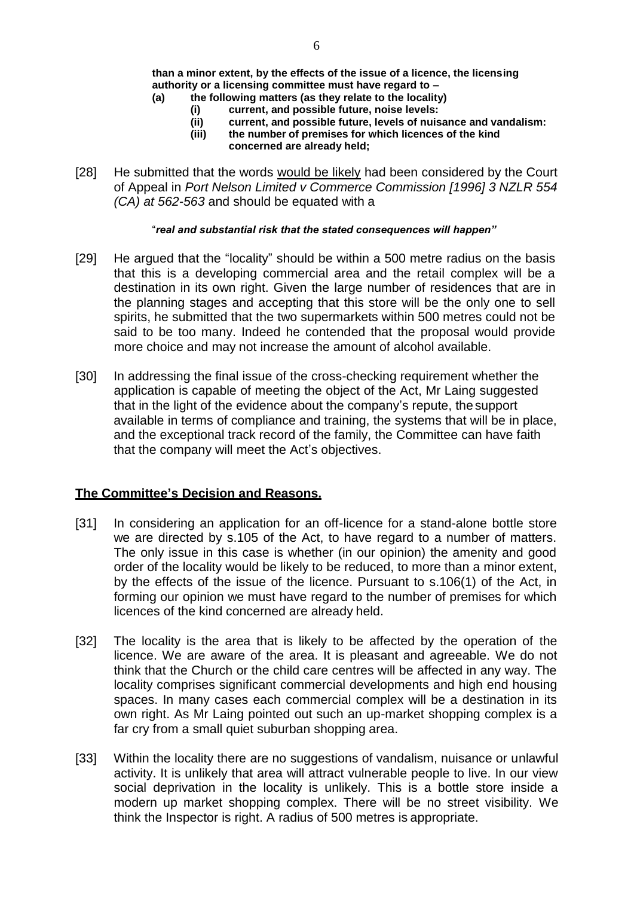**than a minor extent, by the effects of the issue of a licence, the licensing authority or a licensing committee must have regard to –**

- **(a) the following matters (as they relate to the locality)**
	- **(i) current, and possible future, noise levels:**
	- **(ii) current, and possible future, levels of nuisance and vandalism:**
	- **(iii) the number of premises for which licences of the kind concerned are already held;**
- [28] He submitted that the words would be likely had been considered by the Court of Appeal in *Port Nelson Limited v Commerce Commission [1996] 3 NZLR 554 (CA) at 562-563* and should be equated with a

#### "*real and substantial risk that the stated consequences will happen"*

- [29] He argued that the "locality" should be within a 500 metre radius on the basis that this is a developing commercial area and the retail complex will be a destination in its own right. Given the large number of residences that are in the planning stages and accepting that this store will be the only one to sell spirits, he submitted that the two supermarkets within 500 metres could not be said to be too many. Indeed he contended that the proposal would provide more choice and may not increase the amount of alcohol available.
- [30] In addressing the final issue of the cross-checking requirement whether the application is capable of meeting the object of the Act, Mr Laing suggested that in the light of the evidence about the company's repute, the support available in terms of compliance and training, the systems that will be in place, and the exceptional track record of the family, the Committee can have faith that the company will meet the Act's objectives.

## **The Committee's Decision and Reasons.**

- [31] In considering an application for an off-licence for a stand-alone bottle store we are directed by s.105 of the Act, to have regard to a number of matters. The only issue in this case is whether (in our opinion) the amenity and good order of the locality would be likely to be reduced, to more than a minor extent, by the effects of the issue of the licence. Pursuant to s.106(1) of the Act, in forming our opinion we must have regard to the number of premises for which licences of the kind concerned are already held.
- [32] The locality is the area that is likely to be affected by the operation of the licence. We are aware of the area. It is pleasant and agreeable. We do not think that the Church or the child care centres will be affected in any way. The locality comprises significant commercial developments and high end housing spaces. In many cases each commercial complex will be a destination in its own right. As Mr Laing pointed out such an up-market shopping complex is a far cry from a small quiet suburban shopping area.
- [33] Within the locality there are no suggestions of vandalism, nuisance or unlawful activity. It is unlikely that area will attract vulnerable people to live. In our view social deprivation in the locality is unlikely. This is a bottle store inside a modern up market shopping complex. There will be no street visibility. We think the Inspector is right. A radius of 500 metres is appropriate.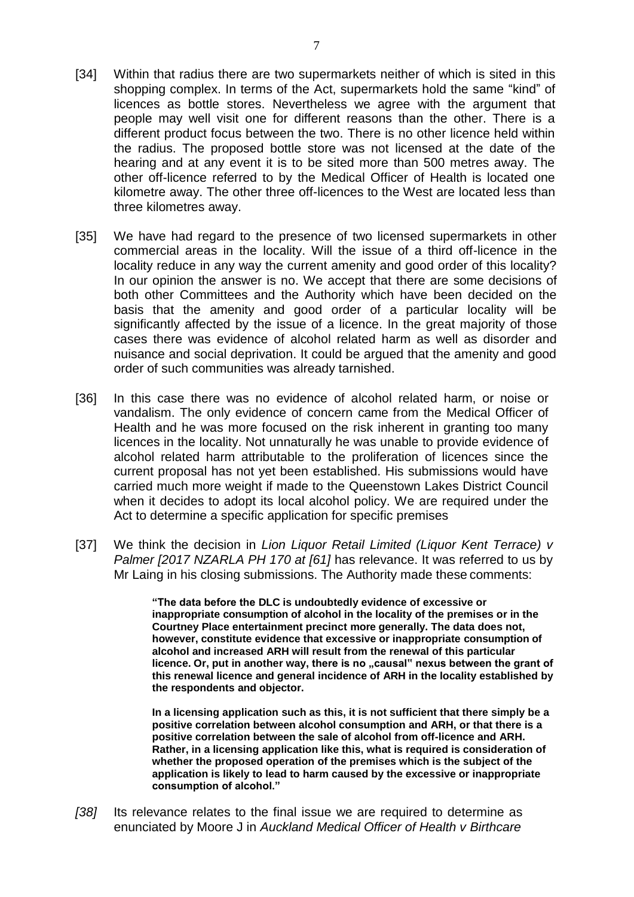- [34] Within that radius there are two supermarkets neither of which is sited in this shopping complex. In terms of the Act, supermarkets hold the same "kind" of licences as bottle stores. Nevertheless we agree with the argument that people may well visit one for different reasons than the other. There is a different product focus between the two. There is no other licence held within the radius. The proposed bottle store was not licensed at the date of the hearing and at any event it is to be sited more than 500 metres away. The other off-licence referred to by the Medical Officer of Health is located one kilometre away. The other three off-licences to the West are located less than three kilometres away.
- [35] We have had regard to the presence of two licensed supermarkets in other commercial areas in the locality. Will the issue of a third off-licence in the locality reduce in any way the current amenity and good order of this locality? In our opinion the answer is no. We accept that there are some decisions of both other Committees and the Authority which have been decided on the basis that the amenity and good order of a particular locality will be significantly affected by the issue of a licence. In the great majority of those cases there was evidence of alcohol related harm as well as disorder and nuisance and social deprivation. It could be argued that the amenity and good order of such communities was already tarnished.
- [36] In this case there was no evidence of alcohol related harm, or noise or vandalism. The only evidence of concern came from the Medical Officer of Health and he was more focused on the risk inherent in granting too many licences in the locality. Not unnaturally he was unable to provide evidence of alcohol related harm attributable to the proliferation of licences since the current proposal has not yet been established. His submissions would have carried much more weight if made to the Queenstown Lakes District Council when it decides to adopt its local alcohol policy. We are required under the Act to determine a specific application for specific premises
- [37] We think the decision in *Lion Liquor Retail Limited (Liquor Kent Terrace) v Palmer [2017 NZARLA PH 170 at [61]* has relevance. It was referred to us by Mr Laing in his closing submissions. The Authority made these comments:

**"The data before the DLC is undoubtedly evidence of excessive or inappropriate consumption of alcohol in the locality of the premises or in the Courtney Place entertainment precinct more generally. The data does not, however, constitute evidence that excessive or inappropriate consumption of alcohol and increased ARH will result from the renewal of this particular**  licence. Or, put in another way, there is no "causal" nexus between the grant of **this renewal licence and general incidence of ARH in the locality established by the respondents and objector.**

**In a licensing application such as this, it is not sufficient that there simply be a positive correlation between alcohol consumption and ARH, or that there is a positive correlation between the sale of alcohol from off-licence and ARH. Rather, in a licensing application like this, what is required is consideration of whether the proposed operation of the premises which is the subject of the application is likely to lead to harm caused by the excessive or inappropriate consumption of alcohol."**

*[38]* Its relevance relates to the final issue we are required to determine as enunciated by Moore J in *Auckland Medical Officer of Health v Birthcare*